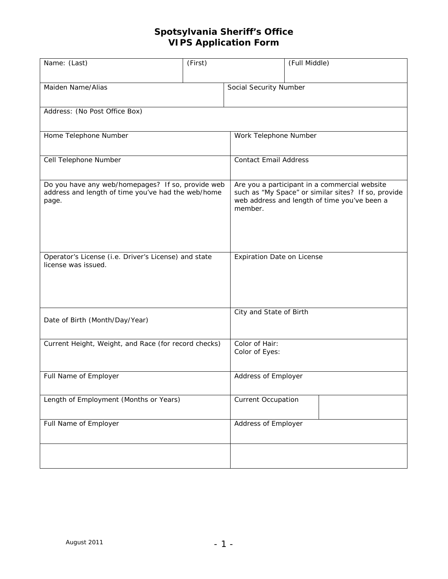| Name: (Last)                                                                                                     | (First) | (Full Middle)                                                                                                                                                   |  |
|------------------------------------------------------------------------------------------------------------------|---------|-----------------------------------------------------------------------------------------------------------------------------------------------------------------|--|
| Maiden Name/Alias                                                                                                |         | Social Security Number                                                                                                                                          |  |
| Address: (No Post Office Box)                                                                                    |         |                                                                                                                                                                 |  |
| Home Telephone Number                                                                                            |         | Work Telephone Number                                                                                                                                           |  |
| Cell Telephone Number                                                                                            |         | <b>Contact Email Address</b>                                                                                                                                    |  |
| Do you have any web/homepages? If so, provide web<br>address and length of time you've had the web/home<br>page. |         | Are you a participant in a commercial website<br>such as "My Space" or similar sites? If so, provide<br>web address and length of time you've been a<br>member. |  |
| Operator's License (i.e. Driver's License) and state<br>license was issued.                                      |         | Expiration Date on License                                                                                                                                      |  |
| Date of Birth (Month/Day/Year)                                                                                   |         | City and State of Birth                                                                                                                                         |  |
| Current Height, Weight, and Race (for record checks)                                                             |         | Color of Hair:<br>Color of Eyes:                                                                                                                                |  |
| Full Name of Employer                                                                                            |         | Address of Employer                                                                                                                                             |  |
| Length of Employment (Months or Years)                                                                           |         | <b>Current Occupation</b>                                                                                                                                       |  |
| Full Name of Employer                                                                                            |         | Address of Employer                                                                                                                                             |  |
|                                                                                                                  |         |                                                                                                                                                                 |  |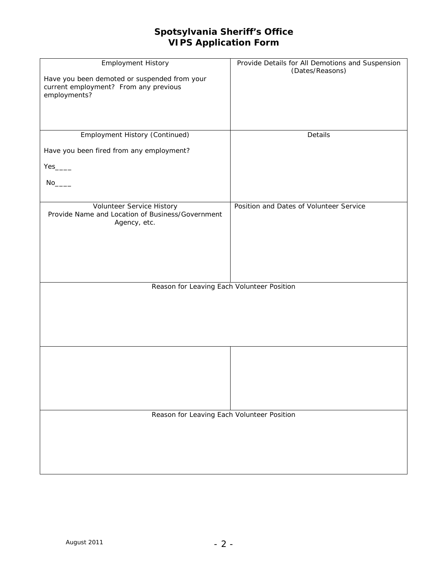| <b>Employment History</b><br>Have you been demoted or suspended from your<br>current employment? From any previous | Provide Details for All Demotions and Suspension<br>(Dates/Reasons) |  |
|--------------------------------------------------------------------------------------------------------------------|---------------------------------------------------------------------|--|
| employments?                                                                                                       |                                                                     |  |
|                                                                                                                    |                                                                     |  |
| Employment History (Continued)                                                                                     | Details                                                             |  |
| Have you been fired from any employment?                                                                           |                                                                     |  |
| $Yes_{\_}$                                                                                                         |                                                                     |  |
|                                                                                                                    |                                                                     |  |
|                                                                                                                    |                                                                     |  |
| Volunteer Service History<br>Provide Name and Location of Business/Government<br>Agency, etc.                      | Position and Dates of Volunteer Service                             |  |
|                                                                                                                    |                                                                     |  |
|                                                                                                                    |                                                                     |  |
|                                                                                                                    |                                                                     |  |
| Reason for Leaving Each Volunteer Position                                                                         |                                                                     |  |
|                                                                                                                    |                                                                     |  |
|                                                                                                                    |                                                                     |  |
|                                                                                                                    |                                                                     |  |
|                                                                                                                    |                                                                     |  |
|                                                                                                                    |                                                                     |  |
|                                                                                                                    |                                                                     |  |
|                                                                                                                    |                                                                     |  |
|                                                                                                                    |                                                                     |  |
| Reason for Leaving Each Volunteer Position                                                                         |                                                                     |  |
|                                                                                                                    |                                                                     |  |
|                                                                                                                    |                                                                     |  |
|                                                                                                                    |                                                                     |  |
|                                                                                                                    |                                                                     |  |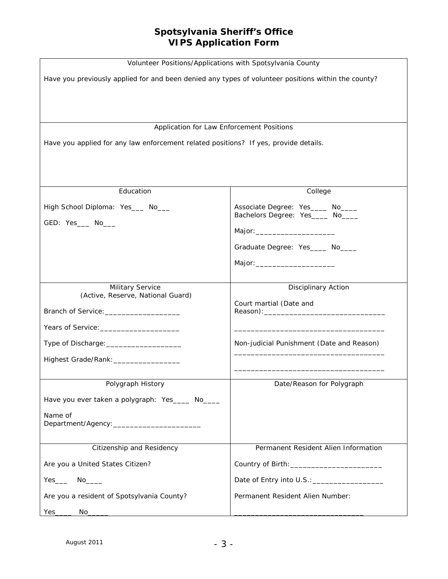| Volunteer Positions/Applications with Spotsylvania County                                           |                                                                        |  |  |  |
|-----------------------------------------------------------------------------------------------------|------------------------------------------------------------------------|--|--|--|
| Have you previously applied for and been denied any types of volunteer positions within the county? |                                                                        |  |  |  |
|                                                                                                     |                                                                        |  |  |  |
|                                                                                                     |                                                                        |  |  |  |
| Application for Law Enforcement Positions                                                           |                                                                        |  |  |  |
| Have you applied for any law enforcement related positions? If yes, provide details.                |                                                                        |  |  |  |
|                                                                                                     |                                                                        |  |  |  |
|                                                                                                     |                                                                        |  |  |  |
|                                                                                                     |                                                                        |  |  |  |
| Education                                                                                           | College                                                                |  |  |  |
| High School Diploma: Yes___ No___                                                                   | Associate Degree: Yes_____ No____<br>Bachelors Degree: Yes_____ No____ |  |  |  |
| GED: Yes___ No___                                                                                   |                                                                        |  |  |  |
|                                                                                                     |                                                                        |  |  |  |
|                                                                                                     | Graduate Degree: Yes_____ No____                                       |  |  |  |
|                                                                                                     |                                                                        |  |  |  |
| Military Service                                                                                    | Disciplinary Action                                                    |  |  |  |
| (Active, Reserve, National Guard)                                                                   | Court martial (Date and                                                |  |  |  |
| Branch of Service: _______________________                                                          |                                                                        |  |  |  |
|                                                                                                     |                                                                        |  |  |  |
| Type of Discharge: ______________________                                                           | Non-judicial Punishment (Date and Reason)                              |  |  |  |
| Highest Grade/Rank: _________________                                                               |                                                                        |  |  |  |
|                                                                                                     |                                                                        |  |  |  |
| Polygraph History                                                                                   | Date/Reason for Polygraph                                              |  |  |  |
| Have you ever taken a polygraph: Yes____ No____                                                     |                                                                        |  |  |  |
| Name of                                                                                             |                                                                        |  |  |  |
|                                                                                                     |                                                                        |  |  |  |
| Citizenship and Residency                                                                           | Permanent Resident Alien Information                                   |  |  |  |
| Are you a United States Citizen?                                                                    |                                                                        |  |  |  |
| $Yes$ No ______                                                                                     |                                                                        |  |  |  |
| Are you a resident of Spotsylvania County?                                                          | Permanent Resident Alien Number:                                       |  |  |  |
| $Yes$ <sub>______</sub>                                                                             |                                                                        |  |  |  |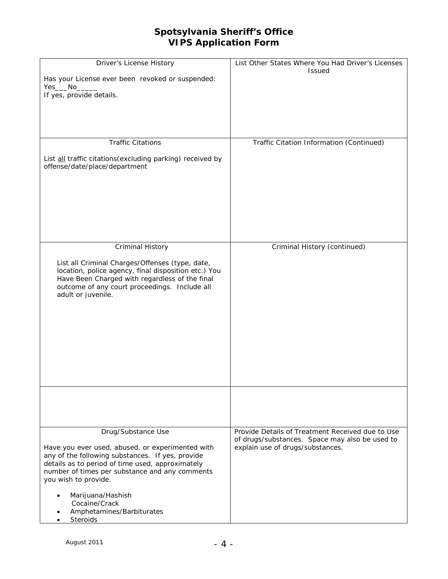| Driver's License History<br>Has your License ever been revoked or suspended:<br>If yes, provide details.                                                                                                                                                                                                                                | List Other States Where You Had Driver's Licenses<br><b>Issued</b>                                                                     |
|-----------------------------------------------------------------------------------------------------------------------------------------------------------------------------------------------------------------------------------------------------------------------------------------------------------------------------------------|----------------------------------------------------------------------------------------------------------------------------------------|
| <b>Traffic Citations</b>                                                                                                                                                                                                                                                                                                                |                                                                                                                                        |
| List all traffic citations (excluding parking) received by<br>offense/date/place/department                                                                                                                                                                                                                                             | Traffic Citation Information (Continued)                                                                                               |
| Criminal History                                                                                                                                                                                                                                                                                                                        | Criminal History (continued)                                                                                                           |
| List all Criminal Charges/Offenses (type, date,<br>location, police agency, final disposition etc.) You<br>Have Been Charged with regardless of the final<br>outcome of any court proceedings. Include all<br>adult or juvenile.                                                                                                        |                                                                                                                                        |
|                                                                                                                                                                                                                                                                                                                                         |                                                                                                                                        |
| Drug/Substance Use<br>Have you ever used, abused, or experimented with<br>any of the following substances. If yes, provide<br>details as to period of time used, approximately<br>number of times per substance and any comments<br>you wish to provide.<br>Marijuana/Hashish<br>Cocaine/Crack<br>Amphetamines/Barbiturates<br>Steroids | Provide Details of Treatment Received due to Use<br>of drugs/substances. Space may also be used to<br>explain use of drugs/substances. |